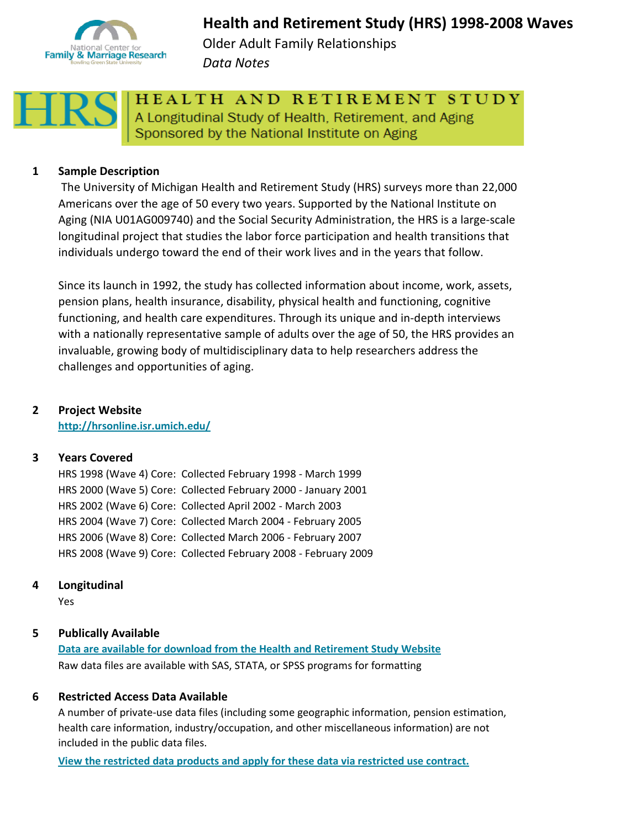

# **Health and Retirement Study (HRS) 1998-2008 Waves** Older Adult Family Relationships

*Data Notes*



HEALTH AND RETIREMENT STUDY A Longitudinal Study of Health, Retirement, and Aging Sponsored by the National Institute on Aging

# **1 Sample Description**

 The University of Michigan Health and Retirement Study (HRS) surveys more than 22,000 Americans over the age of 50 every two years. Supported by the National Institute on Aging (NIA U01AG009740) and the Social Security Administration, the HRS is a large-scale longitudinal project that studies the labor force participation and health transitions that individuals undergo toward the end of their work lives and in the years that follow.

Since its launch in 1992, the study has collected information about income, work, assets, pension plans, health insurance, disability, physical health and functioning, cognitive functioning, and health care expenditures. Through its unique and in-depth interviews with a nationally representative sample of adults over the age of 50, the HRS provides an invaluable, growing body of multidisciplinary data to help researchers address the challenges and opportunities of aging.

# **2 Project Website**

**<http://hrsonline.isr.umich.edu/>**

## **3 Years Covered**

HRS 1998 (Wave 4) Core: Collected February 1998 - March 1999 HRS 2000 (Wave 5) Core: Collected February 2000 - January 2001 HRS 2002 (Wave 6) Core: Collected April 2002 - March 2003 HRS 2004 (Wave 7) Core: Collected March 2004 - February 2005 HRS 2006 (Wave 8) Core: Collected March 2006 - February 2007 HRS 2008 (Wave 9) Core: Collected February 2008 - February 2009

## **4 Longitudinal**

Yes

## **5 Publically Available**

Raw data files are available with SAS, STATA, or SPSS programs for formatting **[Data are available for download from the Health and Retirement Study Website](http://hrsonline.isr.umich.edu/index.php?p=data)**

## **6 Restricted Access Data Available**

A number of private-use data files (including some geographic information, pension estimation, health care information, industry/occupation, and other miscellaneous information) are not included in the public data files.

**[View the restricted data products and apply for these data via restricted use contract.](http://hrsonline.isr.umich.edu/index.php?p=reslis)**